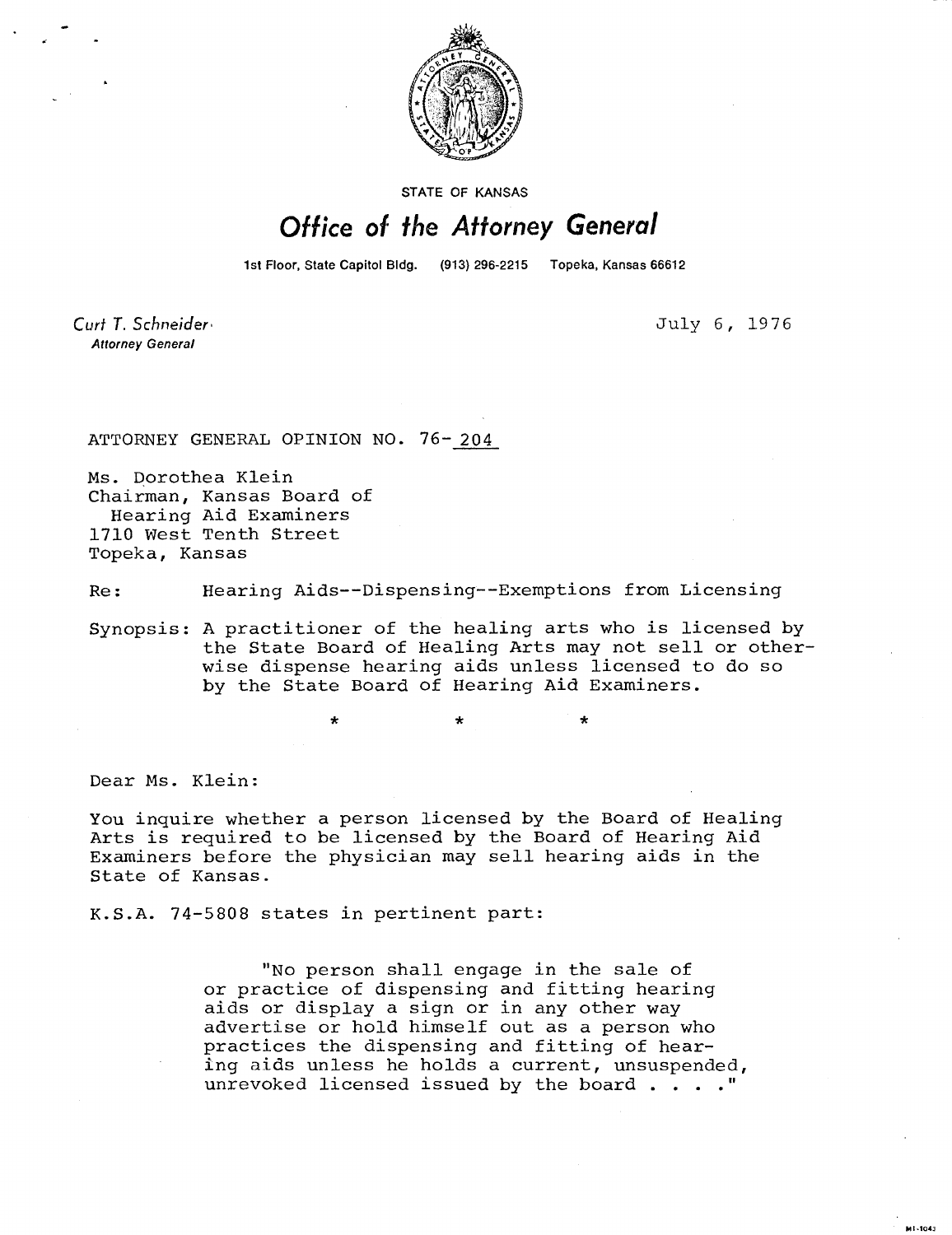

STATE OF KANSAS

## Office of the Attorney General

1st Floor, State Capitol Bldg. (913) 296-2215 Topeka, Kansas 66612

Curt T. Schneider **Attorney General** 

July 6, 1976

MI-1043

ATTORNEY GENERAL OPINION NO. 76-204

Ms. Dorothea Klein Chairman, Kansas Board of Hearing Aid Examiners 1710 West Tenth Street Topeka, Kansas

Re: Hearing Aids--Dispensing--Exemptions from Licensing

Synopsis: A practitioner of the healing arts who is licensed by the State Board of Healing Arts may not sell or otherwise dispense hearing aids unless licensed to do so by the State Board of Hearing Aid Examiners.

\*

Dear Ms. Klein:

You inquire whether a person licensed by the Board of Healing Arts is required to be licensed by the Board of Hearing Aid Examiners before the physician may sell hearing aids in the State of Kansas.

K.S.A. 74-5808 states in pertinent part:

"No person shall engage in the sale of or practice of dispensing and fitting hearing aids or display a sign or in any other way advertise or hold himself out as a person who practices the dispensing and fitting of hearing aids unless he holds a current, unsuspended, unrevoked licensed issued by the board . . . ."